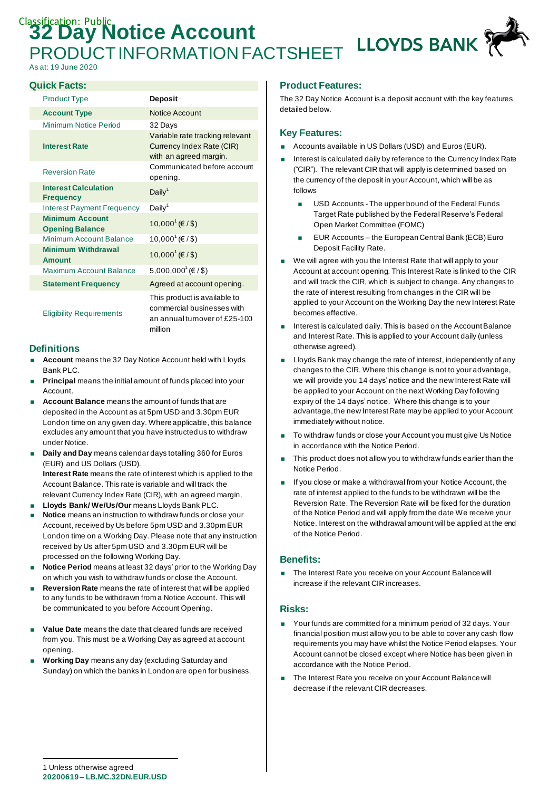# **Classification: Public Account** LLOYDS BANK PRODUCT INFORMATION FACTSHEET

As at: 19 June 2020

#### **Quick Facts:**

| <b>Product Type</b>                              | <b>Deposit</b>                                                                                         |
|--------------------------------------------------|--------------------------------------------------------------------------------------------------------|
| <b>Account Type</b>                              | <b>Notice Account</b>                                                                                  |
| Minimum Notice Period                            | 32 Days                                                                                                |
| <b>Interest Rate</b>                             | Variable rate tracking relevant<br>Currency Index Rate (CIR)<br>with an agreed margin.                 |
| <b>Reversion Rate</b>                            | Communicated before account<br>opening.                                                                |
| <b>Interest Calculation</b><br><b>Frequency</b>  | Daily <sup>1</sup>                                                                                     |
| <b>Interest Payment Frequency</b>                | Daily <sup>1</sup>                                                                                     |
| <b>Minimum Account</b><br><b>Opening Balance</b> | $10,000^1$ (€ / \$)                                                                                    |
| Minimum Account Balance                          | 10,000 <sup><math>1</math></sup> (€ / \$)                                                              |
| <b>Minimum Withdrawal</b><br><b>Amount</b>       | $10,0001$ (€ / \$)                                                                                     |
| Maximum Account Balance                          | 5,000,000 <sup>1</sup> (€/\$)                                                                          |
| <b>Statement Frequency</b>                       | Agreed at account opening.                                                                             |
| <b>Eligibility Requirements</b>                  | This product is available to<br>commercial businesses with<br>an annual turnover of £25-100<br>million |

#### **Definitions**

- **Account** means the 32 Day Notice Account held with Lloyds Bank PLC.
- **Principal** means the initial amount of funds placed into your Account.
- **Account Balance** means the amount of funds that are deposited in the Account as at 5pm USD and 3.30pm EUR London time on any given day. Where applicable, this balance excludes any amount that you have instructed us to withdraw under Notice.
- **Daily and Day** means calendar days totalling 360 for Euros (EUR) and US Dollars (USD). **Interest Rate** means the rate of interest which is applied to the Account Balance. This rate is variable and will track the relevant Currency Index Rate (CIR), with an agreed margin.
- **Lloyds Bank/ We/Us/Our** means Lloyds Bank PLC.
- **Notice** means an instruction to withdraw funds or close your Account, received by Us before 5pm USD and 3.30pm EUR London time on a Working Day. Please note that any instruction received by Us after 5pm USD and 3.30pm EUR will be processed on the following Working Day.
- **Notice Period** means at least 32 days' prior to the Working Day on which you wish to withdraw funds or close the Account.
- **Reversion Rate** means the rate of interest that will be applied to any funds to be withdrawn from a Notice Account. This will be communicated to you before Account Opening.
- **Value Date** means the date that cleared funds are received from you. This must be a Working Day as agreed at account opening.
- **Working Day** means any day (excluding Saturday and Sunday) on which the banks in London are open for business.

# **Product Features:**

The 32 Day Notice Account is a deposit account with the key features detailed below.

#### **Key Features:**

- Accounts available in US Dollars (USD) and Euros (EUR).
- Interest is calculated daily by reference to the Currency Index Rate ("CIR"). The relevant CIR that will apply is determined based on the currency of the deposit in your Account, which will be as follows
	- **USD Accounts The upper bound of the Federal Funds** Target Rate published by the Federal Reserve's Federal Open Market Committee (FOMC)
	- **EUR Accounts the European Central Bank (ECB) Euro** Deposit Facility Rate.
- We will agree with you the Interest Rate that will apply to your Account at account opening. This Interest Rate is linked to the CIR and will track the CIR, which is subject to change. Any changes to the rate of interest resulting from changes in the CIR will be applied to your Account on the Working Day the new Interest Rate becomes effective.
- Interest is calculated daily. This is based on the Account Balance and Interest Rate. This is applied to your Account daily (unless otherwise agreed).
- **Lloyds Bank may change the rate of interest, independently of any** changes to the CIR. Where this change is not to your advantage, we will provide you 14 days' notice and the new Interest Rate will be applied to your Account on the next Working Day following expiry of the 14 days' notice. Where this change is to your advantage, the new Interest Rate may be applied to your Account immediately without notice.
- To withdraw funds or close your Account you must give Us Notice in accordance with the Notice Period.
- This product does not allow you to withdraw funds earlier than the Notice Period.
- If you close or make a withdrawal from your Notice Account, the rate of interest applied to the funds to be withdrawn will be the Reversion Rate. The Reversion Rate will be fixed for the duration of the Notice Period and will apply from the date We receive your Notice. Interest on the withdrawal amount will be applied at the end of the Notice Period.

# **Benefits:**

■ The Interest Rate you receive on your Account Balance will increase if the relevant CIR increases.

#### **Risks:**

- Your funds are committed for a minimum period of 32 days. Your financial position must allow you to be able to cover any cash flow requirements you may have whilst the Notice Period elapses. Your Account cannot be closed except where Notice has been given in accordance with the Notice Period.
- The Interest Rate you receive on your Account Balance will decrease if the relevant CIR decreases.

**<sup>20200619</sup> – LB.MC.32DN.EUR.USD** 1 Unless otherwise agreed